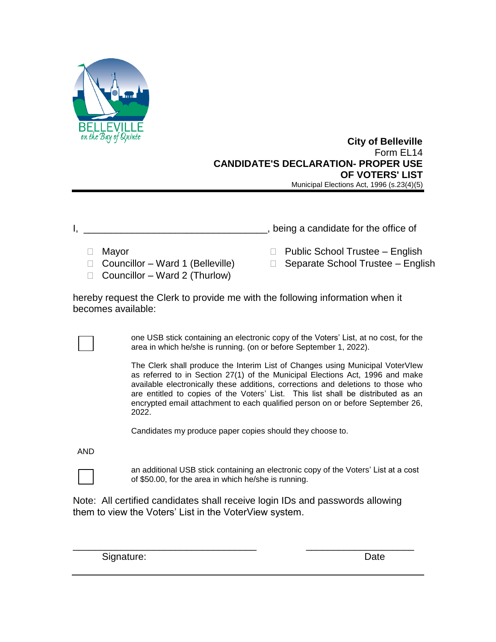

## **City of Belleville** Form EL14 **CANDIDATE'S DECLARATION- PROPER USE OF VOTERS' LIST** Municipal Elections Act, 1996 (s.23(4)(5)

| being a candidate for the office of |
|-------------------------------------|
|                                     |

- 
- 
- $\Box$  Councillor Ward 2 (Thurlow)
- □ Mayor **Public School Trustee English**
- $\Box$  Councillor Ward 1 (Belleville)  $\Box$  Separate School Trustee English

hereby request the Clerk to provide me with the following information when it becomes available:

> one USB stick containing an electronic copy of the Voters' List, at no cost, for the area in which he/she is running. (on or before September 1, 2022).

> The Clerk shall produce the Interim List of Changes using Municipal VoterVIew as referred to in Section 27(1) of the Municipal Elections Act, 1996 and make available electronically these additions, corrections and deletions to those who are entitled to copies of the Voters' List. This list shall be distributed as an encrypted email attachment to each qualified person on or before September 26, 2022.

Candidates my produce paper copies should they choose to.

AND



an additional USB stick containing an electronic copy of the Voters' List at a cost of \$50.00, for the area in which he/she is running.

Note: All certified candidates shall receive login IDs and passwords allowing them to view the Voters' List in the VoterView system.

\_\_\_\_\_\_\_\_\_\_\_\_\_\_\_\_\_\_\_\_\_\_\_\_\_\_\_\_\_\_\_\_\_\_ \_\_\_\_\_\_\_\_\_\_\_\_\_\_\_\_\_\_\_\_

Signature: Date **Date**